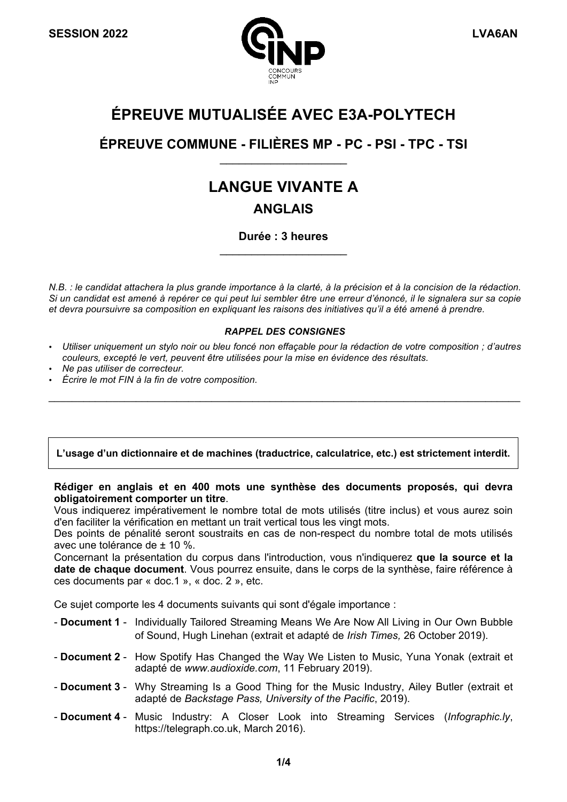

## **ÉPREUVE MUTUALISÉE AVEC E3A-POLYTECH**

## **ÉPREUVE COMMUNE - FILIÈRES MP - PC - PSI - TPC - TSI**  $\overline{\phantom{a}}$  , where  $\overline{\phantom{a}}$  , where  $\overline{\phantom{a}}$

# **LANGUE VIVANTE A**

## **ANGLAIS**

**Durée : 3 heures**  $\overline{\phantom{a}}$  , where  $\overline{\phantom{a}}$  , where  $\overline{\phantom{a}}$  , where  $\overline{\phantom{a}}$  , where  $\overline{\phantom{a}}$ 

*N.B. : le candidat attachera la plus grande importance à la clarté, à la précision et à la concision de la rédaction. Si un candidat est amené à repérer ce qui peut lui sembler être une erreur d'énoncé, il le signalera sur sa copie et devra poursuivre sa composition en expliquant les raisons des initiatives qu'il a été amené à prendre.*

#### *RAPPEL DES CONSIGNES*

• *Utiliser uniquement un stylo noir ou bleu foncé non effaçable pour la rédaction de votre composition ; d'autres couleurs, excepté le vert, peuvent être utilisées pour la mise en évidence des résultats.*

\_\_\_\_\_\_\_\_\_\_\_\_\_\_\_\_\_\_\_\_\_\_\_\_\_\_\_\_\_\_\_\_\_\_\_\_\_\_\_\_\_\_\_\_\_\_\_\_\_\_\_\_\_\_\_\_\_\_\_\_\_\_\_\_\_\_\_\_\_\_\_\_\_\_\_\_\_\_\_\_\_

- *Ne pas utiliser de correcteur.*
- *Écrire le mot FIN à la fin de votre composition.*

#### **L'usage d'un dictionnaire et de machines (traductrice, calculatrice, etc.) est strictement interdit.**

#### **Rédiger en anglais et en 400 mots une synthèse des documents proposés, qui devra obligatoirement comporter un titre**.

Vous indiquerez impérativement le nombre total de mots utilisés (titre inclus) et vous aurez soin d'en faciliter la vérification en mettant un trait vertical tous les vingt mots.

Des points de pénalité seront soustraits en cas de non-respect du nombre total de mots utilisés avec une tolérance de ± 10 %.

Concernant la présentation du corpus dans l'introduction, vous n'indiquerez **que la source et la date de chaque document**. Vous pourrez ensuite, dans le corps de la synthèse, faire référence à ces documents par « doc.1 », « doc. 2 », etc.

Ce sujet comporte les 4 documents suivants qui sont d'égale importance :

- **Document 1** Individually Tailored Streaming Means We Are Now All Living in Our Own Bubble of Sound, Hugh Linehan (extrait et adapté de *Irish Times,* 26 October 2019).
- **Document 2** How Spotify Has Changed the Way We Listen to Music, Yuna Yonak (extrait et adapté de *www.audioxide.com*, 11 February 2019).
- **Document 3** Why Streaming Is a Good Thing for the Music Industry, Ailey Butler (extrait et adapté de *Backstage Pass, University of the Pacific*, 2019).
- **Document 4** Music Industry: A Closer Look into Streaming Services (*Infographic.ly*, https://telegraph.co.uk, March 2016).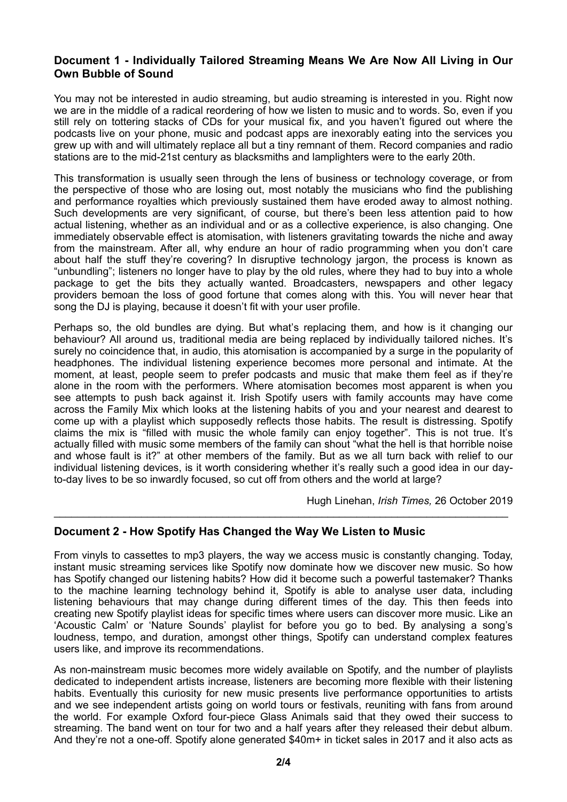#### **Document 1 - Individually Tailored Streaming Means We Are Now All Living in Our Own Bubble of Sound**

You may not be interested in audio streaming, but audio streaming is interested in you. Right now we are in the middle of a radical reordering of how we listen to music and to words. So, even if you still rely on tottering stacks of CDs for your musical fix, and you haven't figured out where the podcasts live on your phone, music and podcast apps are inexorably eating into the services you grew up with and will ultimately replace all but a tiny remnant of them. Record companies and radio stations are to the mid-21st century as blacksmiths and lamplighters were to the early 20th.

This transformation is usually seen through the lens of business or technology coverage, or from the perspective of those who are losing out, most notably the musicians who find the publishing and performance royalties which previously sustained them have eroded away to almost nothing. Such developments are very significant, of course, but there's been less attention paid to how actual listening, whether as an individual and or as a collective experience, is also changing. One immediately observable effect is atomisation, with listeners gravitating towards the niche and away from the mainstream. After all, why endure an hour of radio programming when you don't care about half the stuff they're covering? In disruptive technology jargon, the process is known as "unbundling"; listeners no longer have to play by the old rules, where they had to buy into a whole package to get the bits they actually wanted. Broadcasters, newspapers and other legacy providers bemoan the loss of good fortune that comes along with this. You will never hear that song the DJ is playing, because it doesn't fit with your user profile.

Perhaps so, the old bundles are dying. But what's replacing them, and how is it changing our behaviour? All around us, traditional media are being replaced by individually tailored niches. It's surely no coincidence that, in audio, this atomisation is accompanied by a surge in the popularity of headphones. The individual listening experience becomes more personal and intimate. At the moment, at least, people seem to prefer podcasts and music that make them feel as if they're alone in the room with the performers. Where atomisation becomes most apparent is when you see attempts to push back against it. Irish Spotify users with family accounts may have come across the Family Mix which looks at the listening habits of you and your nearest and dearest to come up with a playlist which supposedly reflects those habits. The result is distressing. Spotify claims the mix is "filled with music the whole family can enjoy together". This is not true. It's actually filled with music some members of the family can shout "what the hell is that horrible noise and whose fault is it?" at other members of the family. But as we all turn back with relief to our individual listening devices, is it worth considering whether it's really such a good idea in our dayto-day lives to be so inwardly focused, so cut off from others and the world at large?

Hugh Linehan, *Irish Times,* 26 October 2019

#### **Document 2 - How Spotify Has Changed the Way We Listen to Music**

From vinyls to cassettes to mp3 players, the way we access music is constantly changing. Today, instant music streaming services like Spotify now dominate how we discover new music. So how has Spotify changed our listening habits? How did it become such a powerful tastemaker? Thanks to the machine learning technology behind it, Spotify is able to analyse user data, including listening behaviours that may change during different times of the day. This then feeds into creating new Spotify playlist ideas for specific times where users can discover more music. Like an 'Acoustic Calm' or 'Nature Sounds' playlist for before you go to bed. By analysing a song's loudness, tempo, and duration, amongst other things, Spotify can understand complex features users like, and improve its recommendations.

 $\mathcal{L}_\mathcal{L} = \mathcal{L}_\mathcal{L} = \mathcal{L}_\mathcal{L} = \mathcal{L}_\mathcal{L} = \mathcal{L}_\mathcal{L} = \mathcal{L}_\mathcal{L} = \mathcal{L}_\mathcal{L} = \mathcal{L}_\mathcal{L} = \mathcal{L}_\mathcal{L} = \mathcal{L}_\mathcal{L} = \mathcal{L}_\mathcal{L} = \mathcal{L}_\mathcal{L} = \mathcal{L}_\mathcal{L} = \mathcal{L}_\mathcal{L} = \mathcal{L}_\mathcal{L} = \mathcal{L}_\mathcal{L} = \mathcal{L}_\mathcal{L}$ 

As non-mainstream music becomes more widely available on Spotify, and the number of playlists dedicated to independent artists increase, listeners are becoming more flexible with their listening habits. Eventually this curiosity for new music presents live performance opportunities to artists and we see independent artists going on world tours or festivals, reuniting with fans from around the world. For example Oxford four-piece Glass Animals said that they owed their success to streaming. The band went on tour for two and a half years after they released their debut album. And they're not a one-off. Spotify alone generated \$40m+ in ticket sales in 2017 and it also acts as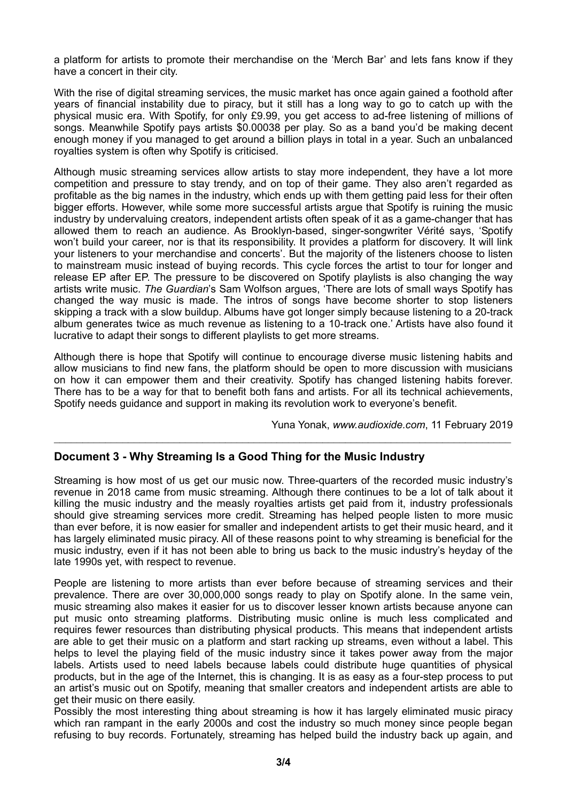a platform for artists to promote their merchandise on the 'Merch Bar' and lets fans know if they have a concert in their city.

With the rise of digital streaming services, the music market has once again gained a foothold after years of financial instability due to piracy, but it still has a long way to go to catch up with the physical music era. With Spotify, for only £9.99, you get access to ad-free listening of millions of songs. Meanwhile Spotify pays artists \$0.00038 per play. So as a band you'd be making decent enough money if you managed to get around a billion plays in total in a year. Such an unbalanced royalties system is often why Spotify is criticised.

Although music streaming services allow artists to stay more independent, they have a lot more competition and pressure to stay trendy, and on top of their game. They also aren't regarded as profitable as the big names in the industry, which ends up with them getting paid less for their often bigger efforts. However, while some more successful artists argue that Spotify is ruining the music industry by undervaluing creators, independent artists often speak of it as a game-changer that has allowed them to reach an audience. As Brooklyn-based, singer-songwriter Vérité says, 'Spotify won't build your career, nor is that its responsibility. It provides a platform for discovery. It will link your listeners to your merchandise and concerts'. But the majority of the listeners choose to listen to mainstream music instead of buying records. This cycle forces the artist to tour for longer and release EP after EP. The pressure to be discovered on Spotify playlists is also changing the way artists write music. *The Guardian*'s Sam Wolfson argues, 'There are lots of small ways Spotify has changed the way music is made. The intros of songs have become shorter to stop listeners skipping a track with a slow buildup. Albums have got longer simply because listening to a 20-track album generates twice as much revenue as listening to a 10-track one.' Artists have also found it lucrative to adapt their songs to different playlists to get more streams.

Although there is hope that Spotify will continue to encourage diverse music listening habits and allow musicians to find new fans, the platform should be open to more discussion with musicians on how it can empower them and their creativity. Spotify has changed listening habits forever. There has to be a way for that to benefit both fans and artists. For all its technical achievements, Spotify needs guidance and support in making its revolution work to everyone's benefit.

\_\_\_\_\_\_\_\_\_\_\_\_\_\_\_\_\_\_\_\_\_\_\_\_\_\_\_\_\_\_\_\_\_\_\_\_\_\_\_\_\_\_\_\_\_\_\_\_\_\_\_\_\_\_\_\_\_\_\_\_\_\_\_\_\_\_\_\_\_\_\_\_\_\_\_\_\_\_\_\_

Yuna Yonak, *www.audioxide.com*, 11 February 2019

#### **Document 3 - Why Streaming Is a Good Thing for the Music Industry**

Streaming is how most of us get our music now. Three-quarters of the recorded music industry's revenue in 2018 came from music streaming. Although there continues to be a lot of talk about it killing the music industry and the measly royalties artists get paid from it, industry professionals should give streaming services more credit. Streaming has helped people listen to more music than ever before, it is now easier for smaller and independent artists to get their music heard, and it has largely eliminated music piracy. All of these reasons point to why streaming is beneficial for the music industry, even if it has not been able to bring us back to the music industry's heyday of the late 1990s yet, with respect to revenue.

People are listening to more artists than ever before because of streaming services and their prevalence. There are over 30,000,000 songs ready to play on Spotify alone. In the same vein, music streaming also makes it easier for us to discover lesser known artists because anyone can put music onto streaming platforms. Distributing music online is much less complicated and requires fewer resources than distributing physical products. This means that independent artists are able to get their music on a platform and start racking up streams, even without a label. This helps to level the playing field of the music industry since it takes power away from the major labels. Artists used to need labels because labels could distribute huge quantities of physical products, but in the age of the Internet, this is changing. It is as easy as a four-step process to put an artist's music out on Spotify, meaning that smaller creators and independent artists are able to get their music on there easily.

Possibly the most interesting thing about streaming is how it has largely eliminated music piracy which ran rampant in the early 2000s and cost the industry so much money since people began refusing to buy records. Fortunately, streaming has helped build the industry back up again, and